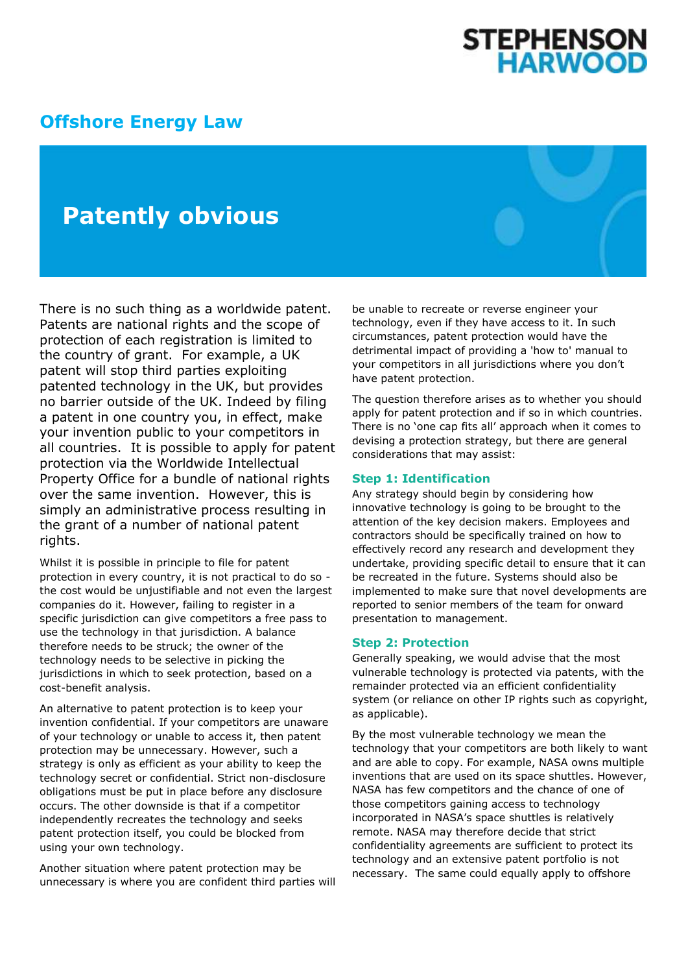# **STEPHENSON<br>HARWOOD**

### **[Offshore Energy Law](http://www.offshoreenergylaw.com/)**

## **Patently obvious**

There is no such thing as a worldwide patent. Patents are national rights and the scope of protection of each registration is limited to the country of grant. For example, a UK patent will stop third parties exploiting patented technology in the UK, but provides no barrier outside of the UK. Indeed by filing a patent in one country you, in effect, make your invention public to your competitors in all countries. It is possible to apply for patent protection via the Worldwide Intellectual Property Office for a bundle of national rights over the same invention. However, this is simply an administrative process resulting in the grant of a number of national patent rights.

Whilst it is possible in principle to file for patent protection in every country, it is not practical to do so the cost would be unjustifiable and not even the largest companies do it. However, failing to register in a specific jurisdiction can give competitors a free pass to use the technology in that jurisdiction. A balance therefore needs to be struck; the owner of the technology needs to be selective in picking the jurisdictions in which to seek protection, based on a cost-benefit analysis.

An alternative to patent protection is to keep your invention confidential. If your competitors are unaware of your technology or unable to access it, then patent protection may be unnecessary. However, such a strategy is only as efficient as your ability to keep the technology secret or confidential. Strict non-disclosure obligations must be put in place before any disclosure occurs. The other downside is that if a competitor independently recreates the technology and seeks patent protection itself, you could be blocked from using your own technology.

Another situation where patent protection may be unnecessary is where you are confident third parties will

be unable to recreate or reverse engineer your technology, even if they have access to it. In such circumstances, patent protection would have the detrimental impact of providing a 'how to' manual to your competitors in all jurisdictions where you don't have patent protection.

The question therefore arises as to whether you should apply for patent protection and if so in which countries. There is no 'one cap fits all' approach when it comes to devising a protection strategy, but there are general considerations that may assist:

#### **Step 1: Identification**

Any strategy should begin by considering how innovative technology is going to be brought to the attention of the key decision makers. Employees and contractors should be specifically trained on how to effectively record any research and development they undertake, providing specific detail to ensure that it can be recreated in the future. Systems should also be implemented to make sure that novel developments are reported to senior members of the team for onward presentation to management.

#### **Step 2: Protection**

Generally speaking, we would advise that the most vulnerable technology is protected via patents, with the remainder protected via an efficient confidentiality system (or reliance on other IP rights such as copyright, as applicable).

By the most vulnerable technology we mean the technology that your competitors are both likely to want and are able to copy. For example, NASA owns multiple inventions that are used on its space shuttles. However, NASA has few competitors and the chance of one of those competitors gaining access to technology incorporated in NASA's space shuttles is relatively remote. NASA may therefore decide that strict confidentiality agreements are sufficient to protect its technology and an extensive patent portfolio is not necessary. The same could equally apply to offshore